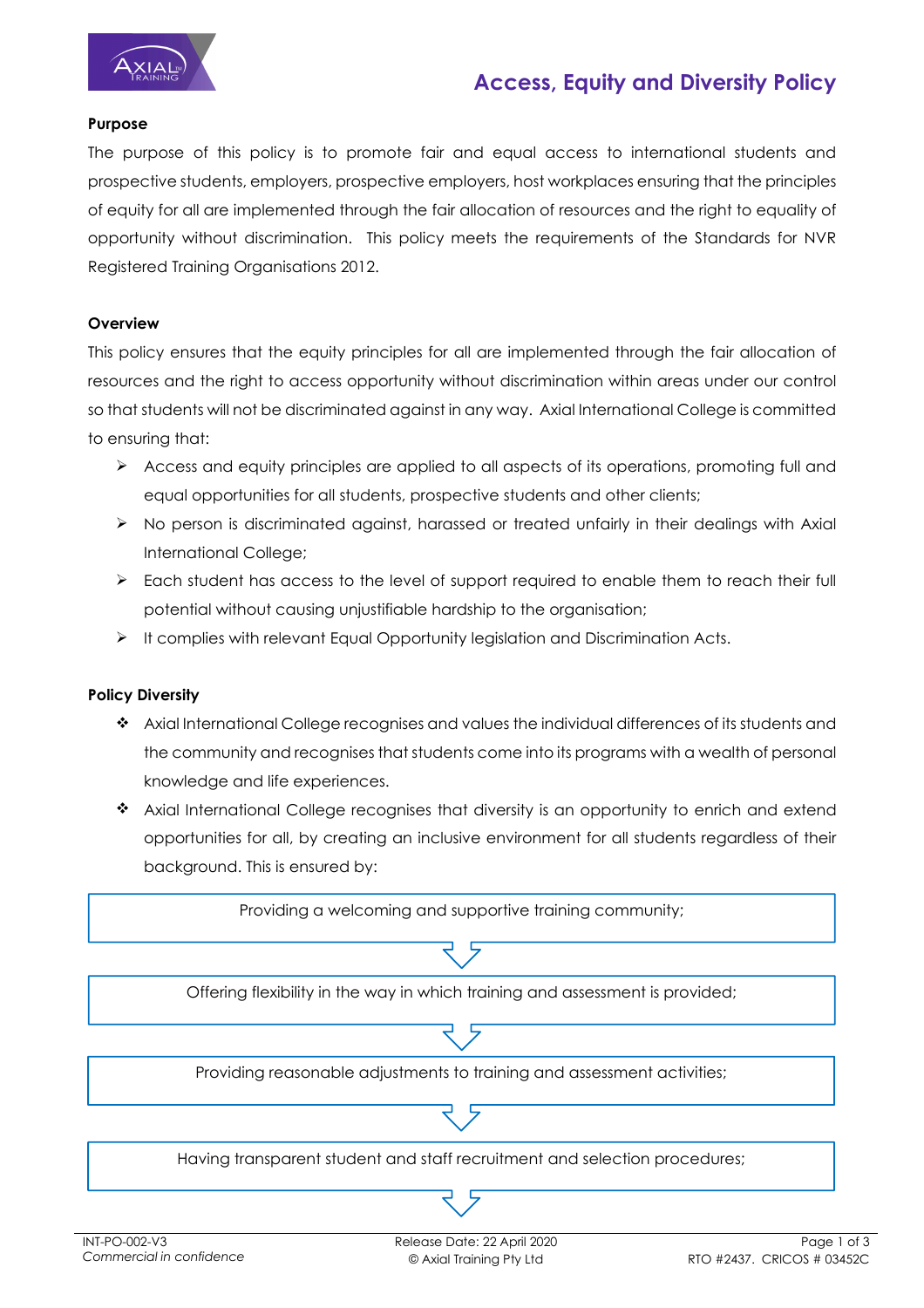

# **Access, Equity and Diversity Policy**

## **Purpose**

The purpose of this policy is to promote fair and equal access to international students and prospective students, employers, prospective employers, host workplaces ensuring that the principles of equity for all are implemented through the fair allocation of resources and the right to equality of opportunity without discrimination. This policy meets the requirements of the Standards for NVR Registered Training Organisations 2012.

## **Overview**

This policy ensures that the equity principles for all are implemented through the fair allocation of resources and the right to access opportunity without discrimination within areas under our control so that students will not be discriminated against in any way. Axial International College is committed to ensuring that:

- Access and equity principles are applied to all aspects of its operations, promoting full and equal opportunities for all students, prospective students and other clients;
- $\triangleright$  No person is discriminated against, harassed or treated unfairly in their dealings with Axial International College;
- $\triangleright$  Each student has access to the level of support required to enable them to reach their full potential without causing unjustifiable hardship to the organisation;
- $\blacktriangleright$  It complies with relevant Equal Opportunity legislation and Discrimination Acts.

# **Policy Diversity**

- Axial International College recognises and values the individual differences of its students and the community and recognises that students come into its programs with a wealth of personal knowledge and life experiences.
- \* Axial International College recognises that diversity is an opportunity to enrich and extend opportunities for all, by creating an inclusive environment for all students regardless of their background. This is ensured by:

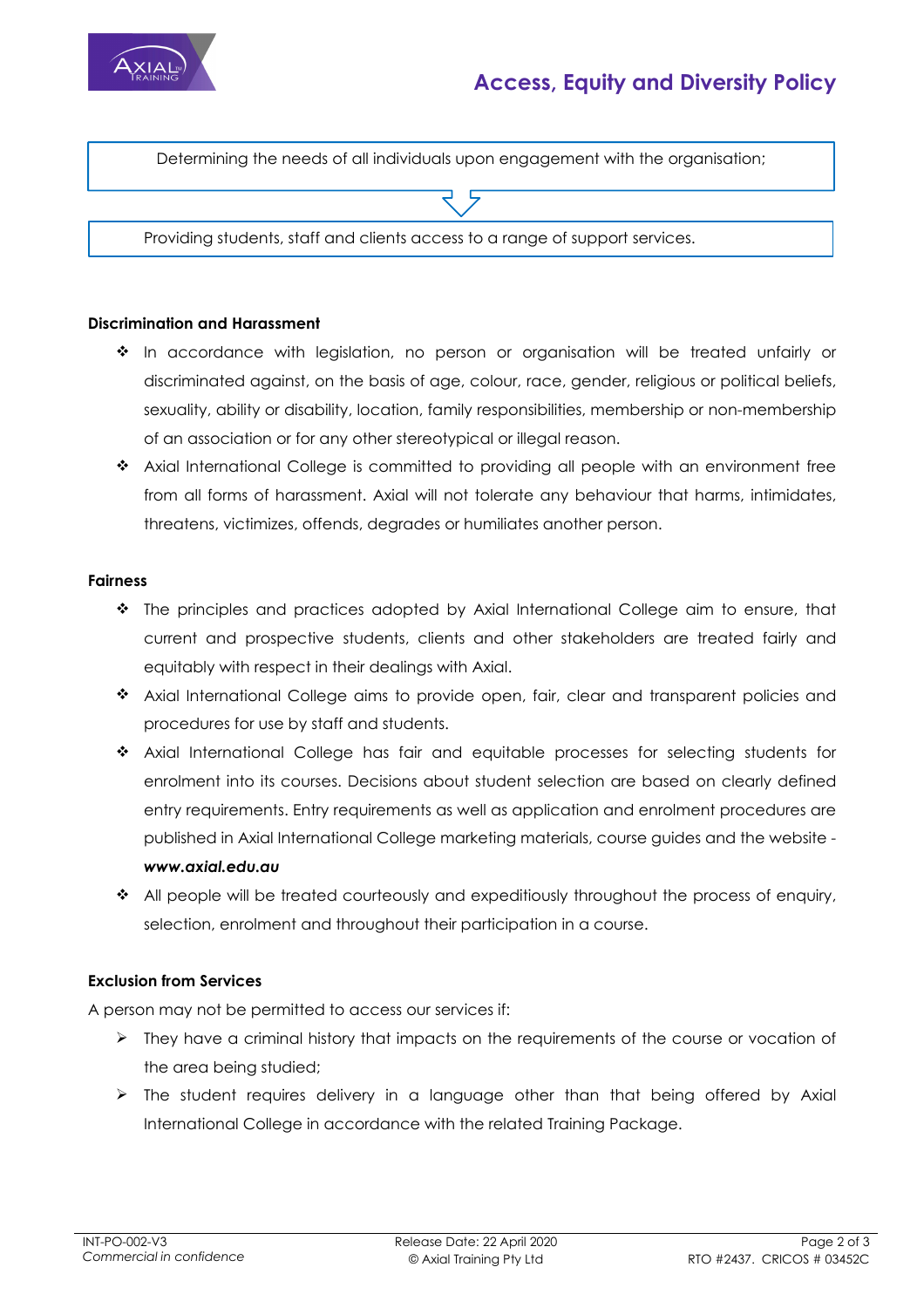

# **Access, Equity and Diversity Policy**

Determining the needs of all individuals upon engagement with the organisation;

Providing students, staff and clients access to a range of support services.

#### **Discrimination and Harassment**

- \* In accordance with legislation, no person or organisation will be treated unfairly or discriminated against, on the basis of age, colour, race, gender, religious or political beliefs, sexuality, ability or disability, location, family responsibilities, membership or non-membership of an association or for any other stereotypical or illegal reason.
- \* Axial International College is committed to providing all people with an environment free from all forms of harassment. Axial will not tolerate any behaviour that harms, intimidates, threatens, victimizes, offends, degrades or humiliates another person.

#### **Fairness**

- The principles and practices adopted by Axial International College aim to ensure, that current and prospective students, clients and other stakeholders are treated fairly and equitably with respect in their dealings with Axial.
- \* Axial International College aims to provide open, fair, clear and transparent policies and procedures for use by staff and students.
- Axial International College has fair and equitable processes for selecting students for enrolment into its courses. Decisions about student selection are based on clearly defined entry requirements. Entry requirements as well as application and enrolment procedures are published in Axial International College marketing materials, course guides and the website *www.axial.edu.au*
- \* All people will be treated courteously and expeditiously throughout the process of enquiry, selection, enrolment and throughout their participation in a course.

### **Exclusion from Services**

A person may not be permitted to access our services if:

- $\triangleright$  They have a criminal history that impacts on the requirements of the course or vocation of the area being studied;
- $\triangleright$  The student requires delivery in a language other than that being offered by Axial International College in accordance with the related Training Package.